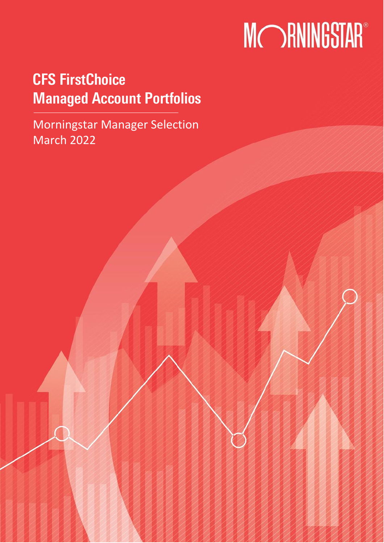# **MORNINGSTAR®**

## CFS FirstChoice Managed Account Portfolios

Morningstar Manager Selection March 2022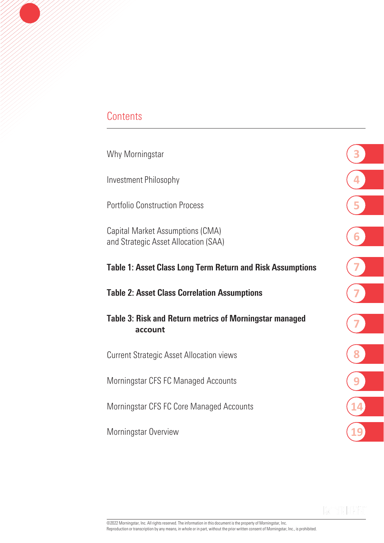### **Contents**

Why Morningstar

Investment Philosophy

Portfolio Construction Process

Capital Market Assumptions (CMA) and Strategic Asset Allocation (SAA)

### Table 1: Asset Class Long Term Return and Risk Assumptions

#### Table 2: Asset Class Correlation Assumptions

Table 3: Risk and Return metrics of Morningstar managed **account**

Current Strategic Asset Allocation views

Morningstar CFS FC Managed Accounts

Morningstar CFS FC Core Managed Accounts

Morningstar Overview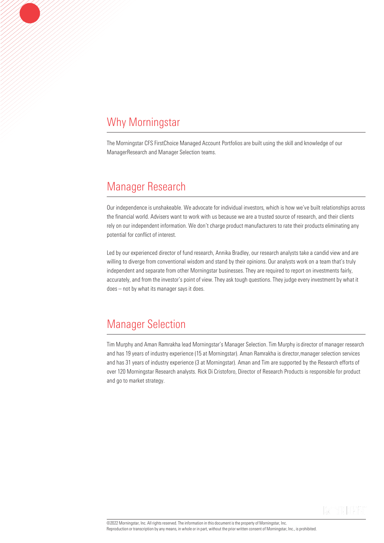### Why Morningstar

The Morningstar CFS FirstChoice Managed Account Portfolios are built using the skill and knowledge of our ManagerResearch and Manager Selection teams.

### Manager Research

Our independence is unshakeable. We advocate for individual investors, which is how we've built relationships across the financial world. Advisers want to work with us because we are a trusted source of research, and their clients rely on our independent information. We don't charge product manufacturers to rate their products eliminating any potential for conflict of interest.

Led by our experienced director of fund research, Annika Bradley, our research analysts take a candid view and are willing to diverge from conventional wisdom and stand by their opinions. Our analysts work on a team that's truly independent and separate from other Morningstar businesses. They are required to report on investments fairly, accurately, and from the investor's point of view. They ask tough questions. They judge every investment by what it does – not by what its manager says it does.

### Manager Selection

Tim Murphy and Aman Ramrakha lead Morningstar's Manager Selection. Tim Murphy is director of manager research and has 19 years of industry experience (15 at Morningstar). Aman Ramrakha is director,manager selection services and has 31 years of industry experience (3 at Morningstar). Aman and Tim are supported by the Research efforts of over 120 Morningstar Research analysts. Rick Di Cristoforo, Director of Research Products is responsible for product and go to market strategy.

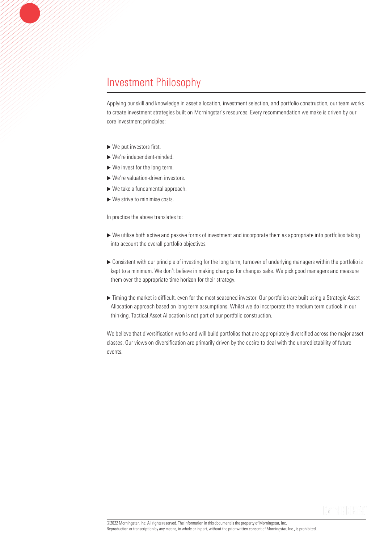### Investment Philosophy

Applying our skill and knowledge in asset allocation, investment selection, and portfolio construction, our team works to create investment strategies built on Morningstar's resources. Every recommendation we make is driven by our core investment principles:

- $\blacktriangleright$  We put investors first.
- We're independent-minded.
- ▶ We invest for the long term.
- We're valuation-driven investors.
- ▶ We take a fundamental approach.
- $\blacktriangleright$  We strive to minimise costs.

In practice the above translates to:

- We utilise both active and passive forms of investment and incorporate them as appropriate into portfolios taking into account the overall portfolio objectives.
- Consistent with our principle of investing for the long term, turnover of underlying managers within the portfolio is kept to a minimum. We don't believe in making changes for changes sake. We pick good managers and measure them over the appropriate time horizon for their strategy.
- Timing the market is difficult, even for the most seasoned investor. Our portfolios are built using a Strategic Asset Allocation approach based on long term assumptions. Whilst we do incorporate the medium term outlook in our thinking, Tactical Asset Allocation is not part of our portfolio construction.

We believe that diversification works and will build portfolios that are appropriately diversified across the major asset classes. Our views on diversification are primarily driven by the desire to deal with the unpredictability of future events.

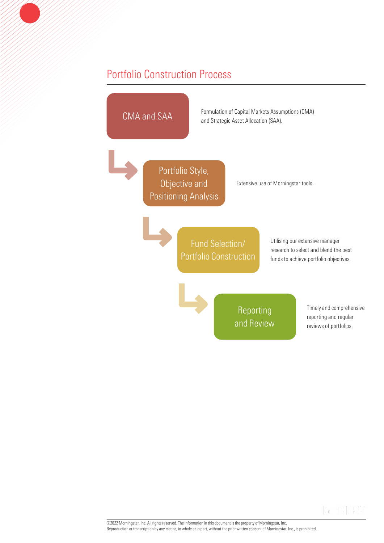### Portfolio Construction Process



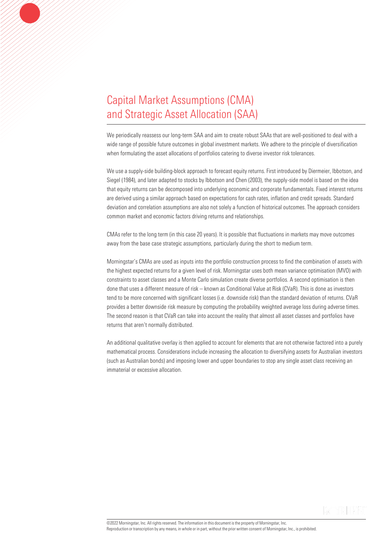### Capital Market Assumptions (CMA) and Strategic Asset Allocation (SAA)

We periodically reassess our long-term SAA and aim to create robust SAAs that are well-positioned to deal with a wide range of possible future outcomes in global investment markets. We adhere to the principle of diversification when formulating the asset allocations of portfolios catering to diverse investor risk tolerances.

We use a supply-side building-block approach to forecast equity returns. First introduced by Diermeier, Ibbotson, and Siegel (1984), and later adapted to stocks by Ibbotson and Chen (2003), the supply-side model is based on the idea that equity returns can be decomposed into underlying economic and corporate fundamentals. Fixed interest returns are derived using a similar approach based on expectations for cash rates, inflation and credit spreads. Standard deviation and correlation assumptions are also not solely a function of historical outcomes. The approach considers common market and economic factors driving returns and relationships.

CMAs refer to the long term (in this case 20 years). It is possible that fluctuations in markets may move outcomes away from the base case strategic assumptions, particularly during the short to medium term.

Morningstar's CMAs are used as inputs into the portfolio construction process to find the combination of assets with the highest expected returns for a given level of risk. Morningstar uses both mean variance optimisation (MVO) with constraints to asset classes and a Monte Carlo simulation create diverse portfolios. A second optimisation is then done that uses a different measure of risk – known as Conditional Value at Risk (CVaR). This is done as investors tend to be more concerned with significant losses (i.e. downside risk) than the standard deviation of returns. CVaR provides a better downside risk measure by computing the probability weighted average loss during adverse times. The second reason is that CVaR can take into account the reality that almost all asset classes and portfolios have returns that aren't normally distributed.

An additional qualitative overlay is then applied to account for elements that are not otherwise factored into a purely mathematical process. Considerations include increasing the allocation to diversifying assets for Australian investors (such as Australian bonds) and imposing lower and upper boundaries to stop any single asset class receiving an immaterial or excessive allocation.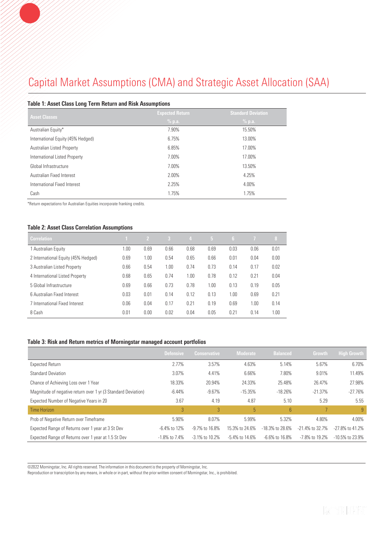### Capital Market Assumptions (CMA) and Strategic Asset Allocation (SAA)

#### Table 1: Asset Class Long Term Return and Risk Assumptions

| <b>Asset Classes</b>              | <b>Expected Return</b> | <b>Standard Deviation</b> |
|-----------------------------------|------------------------|---------------------------|
|                                   | % p.a.                 | % p.a.                    |
| Australian Equity*                | 7.90%                  | 15.50%                    |
| International Equity (45% Hedged) | 6.75%                  | 13.00%                    |
| Australian Listed Property        | 6.85%                  | 17.00%                    |
| International Listed Property     | 7.00%                  | 17.00%                    |
| Global Infrastructure             | 7.00%                  | 13.50%                    |
| Australian Fixed Interest         | 2.00%                  | 4.25%                     |
| International Fixed Interest      | 2.25%                  | 4.00%                     |
| Cash                              | 1.75%                  | 1.75%                     |

\*Return expectations for Australian Equities incorporate franking credits.

#### Table 2: Asset Class Correlation Assumptions

| <b>Correlation</b>                  |      | $\mathbf{2}$ | -3   | $\overline{4}$ | 5 <sup>1</sup> | -6   | $\overline{1}$ | 18,  |
|-------------------------------------|------|--------------|------|----------------|----------------|------|----------------|------|
| 1 Australian Equity                 | 00.1 | 0.69         | 0.66 | 0.68           | 0.69           | 0.03 | 0.06           | 0.01 |
| 2 International Equity (45% Hedged) | 0.69 | 1.00         | 0.54 | 0.65           | 0.66           | 0.01 | 0.04           | 0.00 |
| 3 Australian Listed Property        | 0.66 | 0.54         | 1.00 | 0.74           | 0.73           | 0.14 | 0.17           | 0.02 |
| 4 International Listed Property     | 0.68 | 0.65         | 0.74 | 1.00           | 0.78           | 0.12 | 0.21           | 0.04 |
| 5 Global Infrastructure             | 0.69 | 0.66         | 0.73 | 0.78           | 1.00           | 0.13 | 0.19           | 0.05 |
| 6 Australian Fixed Interest         | 0.03 | 0.01         | 0.14 | 0.12           | 0.13           | 1.00 | 0.69           | 0.21 |
| 7 International Fixed Interest      | 0.06 | 0.04         | 0.17 | 0.21           | 0.19           | 0.69 | 1.00           | 0.14 |
| 8 Cash                              | 0.01 | 0.00         | 0.02 | 0.04           | 0.05           | 0.21 | 0.14           | 1.00 |

#### Table 3: Risk and Return metrics of Morningstar managed account portfolios

|                                                               | <b>Defensive</b> | <b>Conservative</b>  | <b>Moderate</b>      | <b>Balanced</b>   | Growth             | <b>High Growth</b> |
|---------------------------------------------------------------|------------------|----------------------|----------------------|-------------------|--------------------|--------------------|
| Expected Return                                               | 2.77%            | 3.57%                | 4.63%                | 5.14%             | 5.67%              | 6.70%              |
| <b>Standard Deviation</b>                                     | 3.07%            | 4.41%                | 6.66%                | 7.80%             | 9.01%              | 11.49%             |
| Chance of Achieving Loss over 1 Year                          | 18.33%           | 20.94%               | 24.33%               | 25.48%            | 26.47%             | 27.98%             |
| Magnitude of negative return over 1 yr (3 Standard Deviation) | $-6.44%$         | $-9.67%$             | $-15.35%$            | $-18.26%$         | $-21.37\%$         | $-27.76%$          |
| Expected Number of Negative Years in 20                       | 3.67             | 4.19                 | 4.87                 | 5.10              | 5.29               | 5.55               |
| Time Horizon                                                  | 3                | 3 <sup>°</sup>       | 5                    | 6                 |                    | 9                  |
| Prob of Negative Return over Timeframe                        | 5.90%            | 8.07%                | 5.99%                | 5.32%             | 4.80%              | 4.00%              |
| Expected Range of Returns over 1 year at 3 St Dev             | $-6.4\%$ to 12%  | $-9.7\%$ to 16.8%    | 15.3% to 24.6%       | -18.3% to 28.6%   | $-21.4\%$ to 32.7% | -27,8% to 41,2%    |
| Expected Range of Returns over 1 year at 1.5 St Dev           | $-1.8\%$ to 7.4% | $-3.1\%$ to $10.2\%$ | $-5.4\%$ to $14.6\%$ | $-6.6\%$ to 16.8% | -7.8% to 19.2%     | $-10.5\%$ to 23.9% |

©2022 Morningstar, Inc. All rights reserved. The information in this document is the property of Morningstar, Inc.

Reproduction or transcription by any means, in whole or in part, without the prior written consent of Morningstar, Inc., is prohibited.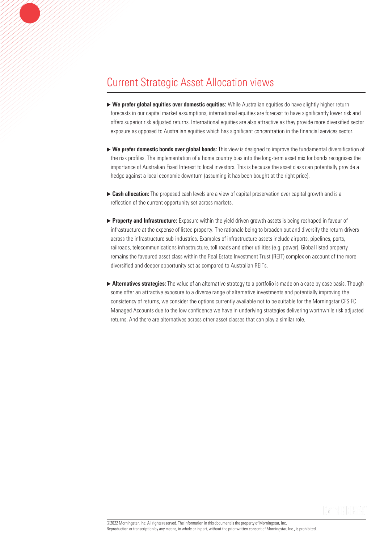### Current Strategic Asset Allocation views

- $\triangleright$  We prefer global equities over domestic equities: While Australian equities do have slightly higher return forecasts in our capital market assumptions, international equities are forecast to have significantly lower risk and offers superior risk adjusted returns. International equities are also attractive as they provide more diversified sector exposure as opposed to Australian equities which has significant concentration in the financial services sector.
- $\triangleright$  We prefer domestic bonds over global bonds: This view is designed to improve the fundamental diversification of the risk profiles. The implementation of a home country bias into the long-term asset mix for bonds recognises the importance of Australian Fixed Interest to local investors. This is because the asset class can potentially provide a hedge against a local economic downturn (assuming it has been bought at the right price).
- ▶ Cash allocation: The proposed cash levels are a view of capital preservation over capital growth and is a reflection of the current opportunity set across markets.
- **Property and Infrastructure:** Exposure within the yield driven growth assets is being reshaped in favour of infrastructure at the expense of listed property. The rationale being to broaden out and diversify the return drivers across the infrastructure sub-industries. Examples of infrastructure assets include airports, pipelines, ports, railroads, telecommunications infrastructure, toll roads and other utilities (e.g. power). Global listed property remains the favoured asset class within the Real Estate Investment Trust (REIT) complex on account of the more diversified and deeper opportunity set as compared to Australian REITs.
- $\triangleright$  Alternatives strategies: The value of an alternative strategy to a portfolio is made on a case by case basis. Though some offer an attractive exposure to a diverse range of alternative investments and potentially improving the consistency of returns, we consider the options currently available not to be suitable for the Morningstar CFS FC Managed Accounts due to the low confidence we have in underlying strategies delivering worthwhile risk adjusted returns. And there are alternatives across other asset classes that can play a similar role.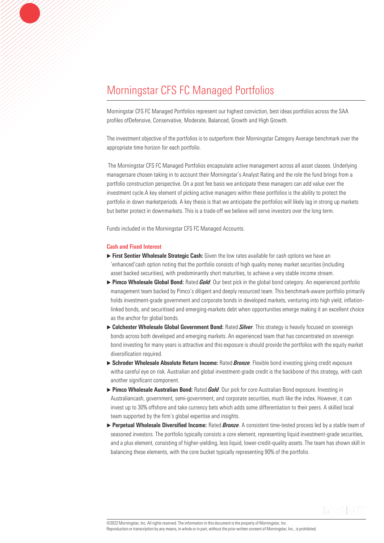Morningstar CFS FC Managed Portfolios represent our highest conviction, best ideas portfolios across the SAA profiles ofDefensive, Conservative, Moderate, Balanced, Growth and High Growth.

The investment objective of the portfolios is to outperform their Morningstar Category Average benchmark over the appropriate time horizon for each portfolio.

The Morningstar CFS FC Managed Portfolios encapsulate active management across all asset classes. Underlying managersare chosen taking in to account their Morningstar's Analyst Rating and the role the fund brings from a portfolio construction perspective. On a post fee basis we anticipate these managers can add value over the investment cycle.A key element of picking active managers within these portfolios is the ability to protect the portfolio in down marketperiods. A key thesis is that we anticipate the portfolios will likely lag in strong up markets but better protect in downmarkets. This is a trade-off we believe will serve investors over the long term.

Funds included in the Morningstar CFS FC Managed Accounts.

#### Cash and Fixed Interest

- $\triangleright$  First Sentier Wholesale Strategic Cash: Given the low rates available for cash options we have an 'enhanced'cash option noting that the portfolio consists of high quality money market securities (including asset backed securities), with predominantly short maturities, to achieve a very stable income stream.
- ▶ Pimco Wholesale Global Bond: Rated *Gold*. Our best pick in the global bond category. An experienced portfolio management team backed by Pimco's diligent and deeply resourced team. This benchmark-aware portfolio primarily holds investment-grade government and corporate bonds in developed markets, venturing into high yield, inflationlinked bonds, and securitised and emerging-markets debt when opportunities emerge making it an excellent choice as the anchor for global bonds.
- ▶ Colchester Wholesale Global Government Bond: Rated *Silver*. This strategy is heavily focused on sovereign bonds across both developed and emerging markets. An experienced team that has concentrated on sovereign bond investing for many years is attractive and this exposure is should provide the portfolios with the equity market diversification required.
- Schroder Wholesale Absolute Return Income: Rated *Bronze*. Flexible bond investing giving credit exposure witha careful eye on risk. Australian and global investment-grade credit is the backbone of this strategy, with cash another significant component.
- Pimco Wholesale Australian Bond: Rated *Gold*. Our pick for core Australian Bond exposure. Investing in Australiancash, government, semi-government, and corporate securities, much like the index. However, it can invest up to 30% offshore and take currency bets which adds some differentiation to their peers. A skilled local team supported by the firm's global expertise and insights.
- Perpetual Wholesale Diversified Income: Rated *Bronze*. A consistent time-tested process led by a stable team of seasoned investors. The portfolio typically consists a core element, representing liquid investment-grade securities, and a plus element, consisting of higher-yielding, less liquid, lower-credit-quality assets. The team has shown skill in balancing these elements, with the core bucket typically representing 90% of the portfolio.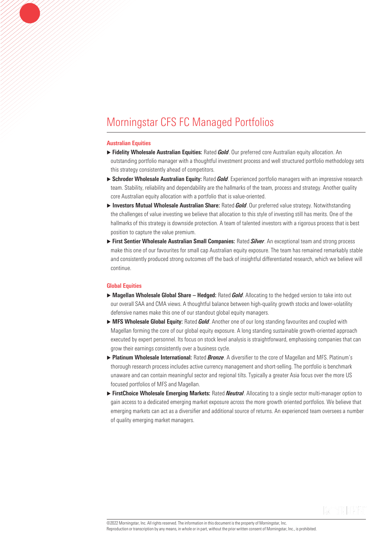#### Australian Equities

- Fidelity Wholesale Australian Equities: Rated *Gold*. Our preferred core Australian equity allocation. An outstanding portfolio manager with a thoughtful investment process and well structured portfolio methodology sets this strategy consistently ahead of competitors.
- Schroder Wholesale Australian Equity: Rated *Gold*. Experienced portfolio managers with an impressive research team. Stability, reliability and dependability are the hallmarks of the team, process and strategy. Another quality core Australian equity allocation with a portfolio that is value-oriented.
- ▶ Investors Mutual Wholesale Australian Share: Rated *Gold*. Our preferred value strategy. Notwithstanding the challenges of value investing we believe that allocation to this style of investing still has merits. One of the hallmarks of this strategy is downside protection. A team of talented investors with a rigorous process that is best position to capture the value premium.
- First Sentier Wholesale Australian Small Companies: Rated *Silver*. An exceptional team and strong process make this one of our favourites for small cap Australian equity exposure. The team has remained remarkably stable and consistently produced strong outcomes off the back of insightful differentiated research, which we believe will continue.

#### Global Equities

- ▶ Magellan Wholesale Global Share Hedged: Rated *Gold*. Allocating to the hedged version to take into out our overall SAA and CMA views. A thoughtful balance between high-quality growth stocks and lower-volatility defensive names make this one of our standout global equity managers.
- ▶ MFS Wholesale Global Equity: Rated *Gold*. Another one of our long standing favourites and coupled with Magellan forming the core of our global equity exposure. A long standing sustainable growth-oriented approach executed by expert personnel. Its focus on stock level analysis is straightforward, emphasising companies that can grow their earnings consistently over a business cycle.
- Platinum Wholesale International: Rated *Bronze*. A diversifier to the core of Magellan and MFS. Platinum's thorough research process includes active currency management and short-selling. The portfolio is benchmark unaware and can contain meaningful sector and regional tilts. Typically a greater Asia focus over the more US focused portfolios of MFS and Magellan.
- FirstChoice Wholesale Emerging Markets: Rated *Neutral*. Allocating to a single sector multi-manager option to gain access to a dedicated emerging market exposure across the more growth oriented portfolios. We believe that emerging markets can act as a diversifier and additional source of returns. An experienced team oversees a number of quality emerging market managers.

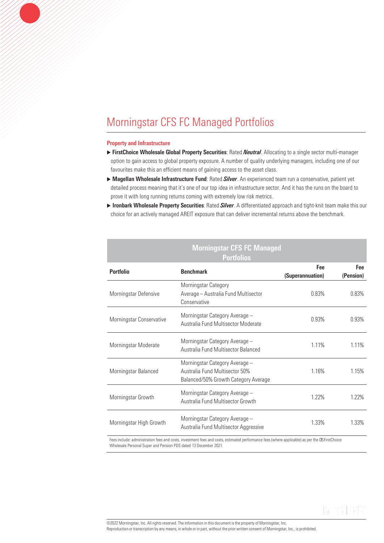#### Property and Infrastructure

- ► FirstChoice Wholesale Global Property Securities: Rated *Neutral*. Allocating to a single sector multi-manager option to gain access to global property exposure. A number of quality underlying managers, including one of our favourites make this an efficient means of gaining access to the asset class.
- Magellan Wholesale Infrastructure Fund: Rated *Silver*. An experienced team run a conservative, patient yet detailed process meaning that it's one of our top idea in infrastructure sector. And it has the runs on the board to prove it with long running returns coming with extremely low risk metrics.
- Ironbark Wholesale Property Securities: Rated *Silver*. A differentiated approach and tight-knit team make this our choice for an actively managed AREIT exposure that can deliver incremental returns above the benchmark.

### Morningstar CFS FC Managed Portfolios

| <b>Portfolio</b>         | <b>Benchmark</b>                                                                                         | Fee<br>(Superannuation) | Fee<br>(Pension) |
|--------------------------|----------------------------------------------------------------------------------------------------------|-------------------------|------------------|
| Morningstar Defensive    | Morningstar Category<br>Average - Australia Fund Multisector<br>Conservative                             | 0.83%                   | 0.83%            |
| Morningstar Conservative | Morningstar Category Average -<br>Australia Fund Multisector Moderate                                    | 0.93%                   | 0.93%            |
| Morningstar Moderate     | Morningstar Category Average -<br>Australia Fund Multisector Balanced                                    | 1.11%                   | 1.11%            |
| Morningstar Balanced     | Morningstar Category Average -<br>Australia Fund Multisector 50%<br>Balanced/50% Growth Category Average | 1.16%                   | 1.15%            |
| Morningstar Growth       | Morningstar Category Average -<br>Australia Fund Multisector Growth                                      | 1.22%                   | 1.22%            |
| Morningstar High Growth  | Morningstar Category Average -<br>Australia Fund Multisector Aggressive                                  | 1.33%                   | 1.33%            |

Fees include: administration fees and costs, investment fees and costs, estimated performance fees (where applicable) as per the CSFirstChoice Wholesale Personal Super and Pension PDS dated 13 December 2021.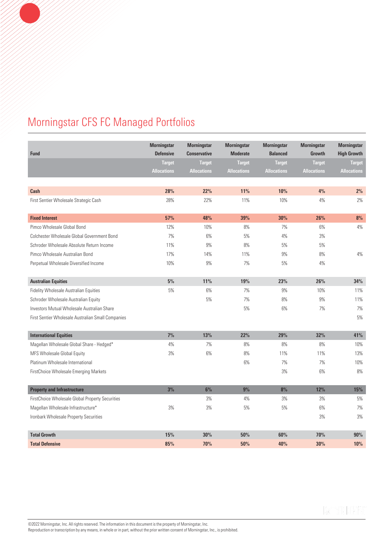| <b>Fund</b>                                        | <b>Morningstar</b><br><b>Defensive</b> | <b>Morningstar</b><br><b>Conservative</b> | <b>Morningstar</b><br><b>Moderate</b> | <b>Morningstar</b><br><b>Balanced</b> | <b>Morningstar</b><br>Growth | <b>Morningstar</b><br><b>High Growth</b> |
|----------------------------------------------------|----------------------------------------|-------------------------------------------|---------------------------------------|---------------------------------------|------------------------------|------------------------------------------|
|                                                    | <b>Target</b>                          | <b>Target</b>                             | <b>Target</b>                         | <b>Target</b>                         | <b>Target</b>                | <b>Target</b>                            |
|                                                    | <b>Allocations</b>                     | <b>Allocations</b>                        | <b>Allocations</b>                    | <b>Allocations</b>                    | <b>Allocations</b>           | <b>Allocations</b>                       |
|                                                    |                                        |                                           |                                       |                                       |                              |                                          |
| Cash                                               | 28%                                    | 22%                                       | 11%                                   | 10%                                   | 4%                           | 2%                                       |
| First Sentier Wholesale Strategic Cash             | 28%                                    | 22%                                       | 11%                                   | 10%                                   | 4%                           | 2%                                       |
| <b>Fixed Interest</b>                              | 57%                                    | 48%                                       | 39%                                   | 30%                                   | 26%                          | 8%                                       |
| Pimco Wholesale Global Bond                        | 12%                                    | 10%                                       | 8%                                    | 7%                                    | 6%                           | 4%                                       |
| Colchester Wholesale Global Government Bond        | 7%                                     | 6%                                        | 5%                                    | 4%                                    | 3%                           |                                          |
| Schroder Wholesale Absolute Return Income          | 11%                                    | $9\%$                                     | 8%                                    | $5%$                                  | $5%$                         |                                          |
| Pimco Wholesale Australian Bond                    | 17%                                    | 14%                                       | 11%                                   | $9\%$                                 | 8%                           | 4%                                       |
| Perpetual Wholesale Diversified Income             | 10%                                    | 9%                                        | 7%                                    | $5%$                                  | 4%                           |                                          |
|                                                    |                                        |                                           |                                       |                                       |                              |                                          |
| <b>Australian Equities</b>                         | $5\%$                                  | 11%                                       | 19%                                   | 23%                                   | 26%                          | 34%                                      |
| Fidelity Wholesale Australian Equities             | 5%                                     | 6%                                        | 7%                                    | $9\%$                                 | 10%                          | 11%                                      |
| Schroder Wholesale Australian Equity               |                                        | 5%                                        | 7%                                    | 8%                                    | 9%                           | 11%                                      |
| Investors Mutual Wholesale Australian Share        |                                        |                                           | 5%                                    | 6%                                    | 7%                           | 7%                                       |
| First Sentier Wholesale Australian Small Companies |                                        |                                           |                                       |                                       |                              | 5%                                       |
|                                                    |                                        |                                           |                                       |                                       |                              |                                          |
| <b>International Equities</b>                      | 7%                                     | 13%                                       | 22%                                   | 29%                                   | 32%                          | 41%                                      |
| Magellan Wholesale Global Share - Hedged*          | 4%                                     | 7%                                        | 8%                                    | 8%                                    | 8%                           | 10%                                      |
| MFS Wholesale Global Equity                        | 3%                                     | 6%                                        | 8%                                    | 11%                                   | 11%                          | 13%                                      |
| Platinum Wholesale International                   |                                        |                                           | $6\%$                                 | 7%                                    | 7%                           | 10%                                      |
| FirstChoice Wholesale Emerging Markets             |                                        |                                           |                                       | 3%                                    | 6%                           | 8%                                       |
| <b>Property and Infrastructure</b>                 | 3%                                     | 6%                                        | 9%                                    | 8%                                    | 12%                          | 15%                                      |
| FirstChoice Wholesale Global Property Securities   |                                        | 3%                                        | 4%                                    | 3%                                    | 3%                           | 5%                                       |
| Magellan Wholesale Infrastructure*                 | 3%                                     | 3%                                        | 5%                                    | $5%$                                  | 6%                           | 7%                                       |
| Ironbark Wholesale Property Securities             |                                        |                                           |                                       |                                       | 3%                           | 3%                                       |
|                                                    |                                        |                                           |                                       |                                       |                              |                                          |
| <b>Total Growth</b>                                | 15%                                    | 30%                                       | 50%                                   | 60%                                   | 70%                          | 90%                                      |
| <b>Total Defensive</b>                             | 85%                                    | 70%                                       | 50%                                   | 40%                                   | 30%                          | 10%                                      |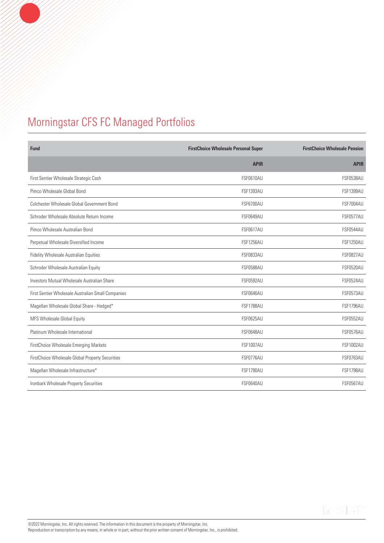| Fund                                               | <b>FirstChoice Wholesale Personal Super</b> | <b>FirstChoice Wholesale Pension</b> |
|----------------------------------------------------|---------------------------------------------|--------------------------------------|
|                                                    | <b>APIR</b>                                 | <b>APIR</b>                          |
| First Sentier Wholesale Strategic Cash             | <b>FSF0610AU</b>                            | <b>FSF0538AU</b>                     |
| Pimco Wholesale Global Bond                        | <b>FSF1393AU</b>                            | <b>FSF1399AU</b>                     |
| Colchester Wholesale Global Government Bond        | <b>FSF6700AU</b>                            | <b>FSF7004AU</b>                     |
| Schroder Wholesale Absolute Return Income          | <b>FSF0649AU</b>                            | <b>FSF0577AU</b>                     |
| Pimco Wholesale Australian Bond                    | <b>FSF0617AU</b>                            | <b>FSF0544AU</b>                     |
| Perpetual Wholesale Diversified Income             | <b>FSF1256AU</b>                            | <b>FSF1250AU</b>                     |
| Fidelity Wholesale Australian Equities             | <b>FSF0833AU</b>                            | <b>FSF0827AU</b>                     |
| Schroder Wholesale Australian Equity               | <b>FSF0588AU</b>                            | <b>FSF0520AU</b>                     |
| Investors Mutual Wholesale Australian Share        | <b>FSF0592AU</b>                            | <b>FSF0524AU</b>                     |
| First Sentier Wholesale Australian Small Companies | <b>FSF0646AU</b>                            | <b>FSF0573AU</b>                     |
| Magellan Wholesale Global Share - Hedged*          | <b>FSF1788AU</b>                            | <b>FSF1796AU</b>                     |
| MFS Wholesale Global Equity                        | <b>FSF0625AU</b>                            | <b>FSF0552AU</b>                     |
| Platinum Wholesale International                   | <b>FSF0648AU</b>                            | <b>FSF0576AU</b>                     |
| FirstChoice Wholesale Emerging Markets             | <b>FSF1007AU</b>                            | <b>FSF1002AU</b>                     |
| FirstChoice Wholesale Global Property Securities   | FSF0776AU                                   | <b>FSF0763AU</b>                     |
| Magellan Wholesale Infrastructure*                 | <b>FSF1790AU</b>                            | <b>FSF1798AU</b>                     |
| Ironbark Wholesale Property Securities             | <b>FSF0640AU</b>                            | <b>FSF0567AU</b>                     |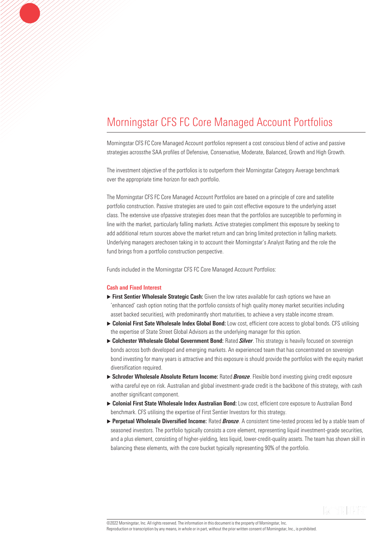Morningstar CFS FC Core Managed Account portfolios represent a cost conscious blend of active and passive strategies acrossthe SAA profiles of Defensive, Conservative, Moderate, Balanced, Growth and High Growth.

The investment objective of the portfolios is to outperform their Morningstar Category Average benchmark over the appropriate time horizon for each portfolio.

The Morningstar CFS FC Core Managed Account Portfolios are based on a principle of core and satellite portfolio construction. Passive strategies are used to gain cost effective exposure to the underlying asset class. The extensive use ofpassive strategies does mean that the portfolios are susceptible to performing in line with the market, particularly falling markets. Active strategies compliment this exposure by seeking to add additional return sources above the market return and can bring limited protection in falling markets. Underlying managers arechosen taking in to account their Morningstar's Analyst Rating and the role the fund brings from a portfolio construction perspective.

Funds included in the Morningstar CFS FC Core Managed Account Portfolios:

#### Cash and Fixed Interest

- $\triangleright$  First Sentier Wholesale Strategic Cash: Given the low rates available for cash options we have an 'enhanced' cash option noting that the portfolio consists of high quality money market securities including asset backed securities), with predominantly short maturities, to achieve a very stable income stream.
- ▶ Colonial First Sate Wholesale Index Global Bond: Low cost, efficient core access to global bonds. CFS utilising the expertise of State Street Global Advisors as the underlying manager for this option.
- Colchester Wholesale Global Government Bond: Rated *Silver*. This strategy is heavily focused on sovereign bonds across both developed and emerging markets. An experienced team that has concentrated on sovereign bond investing for many years is attractive and this exposure is should provide the portfolios with the equity market diversification required.
- Schroder Wholesale Absolute Return Income: Rated *Bronze*. Flexible bond investing giving credit exposure witha careful eye on risk. Australian and global investment-grade credit is the backbone of this strategy, with cash another significant component.
- ▶ Colonial First State Wholesale Index Australian Bond: Low cost, efficient core exposure to Australian Bond benchmark. CFS utilising the expertise of First Sentier Investors for this strategy.
- ▶ Perpetual Wholesale Diversified Income: Rated *Bronze*. A consistent time-tested process led by a stable team of seasoned investors. The portfolio typically consists a core element, representing liquid investment-grade securities, and a plus element, consisting of higher-yielding, less liquid, lower-credit-quality assets. The team has shown skill in balancing these elements, with the core bucket typically representing 90% of the portfolio.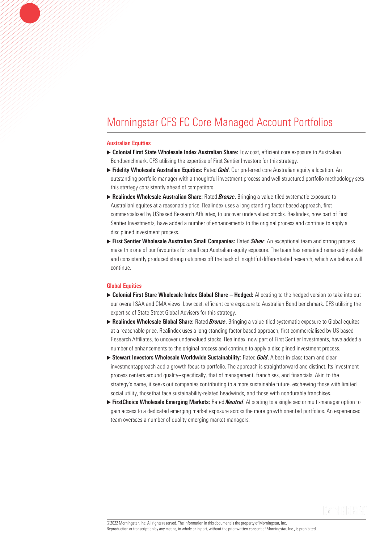#### Australian Equities

- ▶ Colonial First State Wholesale Index Australian Share: Low cost, efficient core exposure to Australian Bondbenchmark. CFS utilising the expertise of First Sentier Investors for this strategy.
- **Fidelity Wholesale Australian Equities:** Rated *Gold*. Our preferred core Australian equity allocation. An outstanding portfolio manager with a thoughtful investment process and well structured portfolio methodology sets this strategy consistently ahead of competitors.
- Realindex Wholesale Australian Share: Rated *Bronze*. Bringing a value-tiled systematic exposure to Australianl equites at a reasonable price. Realindex uses a long standing factor based approach, first commercialised by USbased Research Affiliates, to uncover undervalued stocks. Realindex, now part of First Sentier Investments, have added a number of enhancements to the original process and continue to apply a disciplined investment process.
- First Sentier Wholesale Australian Small Companies: Rated *Silver*. An exceptional team and strong process make this one of our favourites for small cap Australian equity exposure. The team has remained remarkably stable and consistently produced strong outcomes off the back of insightful differentiated research, which we believe will continue.

#### Global Equities

- ▶ Colonial First Stare Wholesale Index Global Share Hedged: Allocating to the hedged version to take into out our overall SAA and CMA views. Low cost, efficient core exposure to Australian Bond benchmark. CFS utilising the expertise of State Street Global Advisers for this strategy.
- Realindex Wholesale Global Share: Rated *Bronze*. Bringing a value-tiled systematic exposure to Global equites at a reasonable price. Realindex uses a long standing factor based approach, first commercialised by US based Research Affiliates, to uncover undervalued stocks. Realindex, now part of First Sentier Investments, have added a number of enhancements to the original process and continue to apply a disciplined investment process.
- ▶ Stewart Investors Wholesale Worldwide Sustainability: Rated *Gold*. A best-in-class team and clear investmentapproach add a growth focus to portfolio. The approach is straightforward and distinct. Its investment process centers around quality--specifically, that of management, franchises, and financials. Akin to the strategy's name, it seeks out companies contributing to a more sustainable future, eschewing those with limited social utility, thosethat face sustainability-related headwinds, and those with nondurable franchises.
- ► FirstChoice Wholesale Emerging Markets: Rated *Neutral*. Allocating to a single sector multi-manager option to gain access to a dedicated emerging market exposure across the more growth oriented portfolios. An experienced team oversees a number of quality emerging market managers.

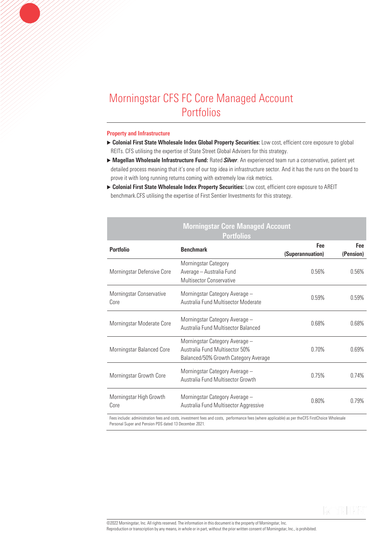#### Property and Infrastructure

- ▶ Colonial First State Wholesale Index Global Property Securities: Low cost, efficient core exposure to global REITs. CFS utilising the expertise of State Street Global Advisers for this strategy.
- Magellan Wholesale Infrastructure Fund: Rated *Silver*. An experienced team run a conservative, patient yet detailed process meaning that it's one of our top idea in infrastructure sector. And it has the runs on the board to prove it with long running returns coming with extremely low risk metrics.

Morningstar Core Managed Account

▶ Colonial First State Wholesale Index Property Securities: Low cost, efficient core exposure to AREIT benchmark.CFS utilising the expertise of First Sentier Investments for this strategy.

| <u>mormnyolar ooro managoa rioooant</u><br><b>Portfolios</b>                                                                                     |                                                                                                          |                         |                  |  |  |  |
|--------------------------------------------------------------------------------------------------------------------------------------------------|----------------------------------------------------------------------------------------------------------|-------------------------|------------------|--|--|--|
| <b>Portfolio</b>                                                                                                                                 | <b>Benchmark</b>                                                                                         | Fee<br>(Superannuation) | Fee<br>(Pension) |  |  |  |
| Morningstar Defensive Core                                                                                                                       | Morningstar Category<br>Average - Australia Fund<br><b>Multisector Conservative</b>                      | 0.56%                   | 0.56%            |  |  |  |
| Morningstar Conservative<br>Core                                                                                                                 | Morningstar Category Average -<br>Australia Fund Multisector Moderate                                    | 0.59%                   | 0.59%            |  |  |  |
| Morningstar Moderate Core                                                                                                                        | Morningstar Category Average -<br>Australia Fund Multisector Balanced                                    | $0.68\%$                | 0.68%            |  |  |  |
| Morningstar Balanced Core                                                                                                                        | Morningstar Category Average -<br>Australia Fund Multisector 50%<br>Balanced/50% Growth Category Average | 0.70%                   | 0.69%            |  |  |  |
| Morningstar Growth Core                                                                                                                          | Morningstar Category Average -<br>Australia Fund Multisector Growth                                      | 0.75%                   | 0.74%            |  |  |  |
| Morningstar High Growth<br>Core                                                                                                                  | Morningstar Category Average -<br>Australia Fund Multisector Aggressive                                  | $0.80\%$                | 0.79%            |  |  |  |
| Fees include: administration fees and costs, investment fees and costs, performance fees (where applicable) as per the CFS FirstChoice Wholesale |                                                                                                          |                         |                  |  |  |  |

Personal Super and Pension PDS dated 13 December 2021.

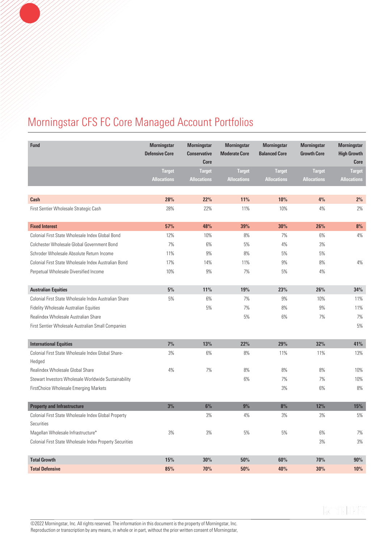| Fund                                                     | <b>Morningstar</b><br><b>Defensive Core</b> | <b>Morningstar</b><br><b>Conservative</b><br><b>Core</b> | <b>Morningstar</b><br><b>Moderate Core</b> | <b>Morningstar</b><br><b>Balanced Core</b> | <b>Morningstar</b><br><b>Growth Core</b> | <b>Morningstar</b><br><b>High Growth</b><br>Core |
|----------------------------------------------------------|---------------------------------------------|----------------------------------------------------------|--------------------------------------------|--------------------------------------------|------------------------------------------|--------------------------------------------------|
|                                                          | <b>Target</b>                               | <b>Target</b>                                            | <b>Target</b>                              | <b>Target</b>                              | <b>Target</b>                            | <b>Target</b>                                    |
|                                                          | <b>Allocations</b>                          | <b>Allocations</b>                                       | <b>Allocations</b>                         | <b>Allocations</b>                         | <b>Allocations</b>                       | <b>Allocations</b>                               |
|                                                          |                                             |                                                          |                                            |                                            |                                          |                                                  |
| Cash                                                     | 28%                                         | 22%                                                      | 11%                                        | 10%                                        | 4%                                       | 2%                                               |
| First Sentier Wholesale Strategic Cash                   | 28%                                         | 22%                                                      | 11%                                        | 10%                                        | 4%                                       | 2%                                               |
|                                                          |                                             |                                                          |                                            |                                            |                                          |                                                  |
| <b>Fixed Interest</b>                                    | 57%                                         | 48%                                                      | 39%                                        | 30%                                        | 26%                                      | 8%                                               |
| Colonial First State Wholesale Index Global Bond         | 12%                                         | 10%                                                      | 8%                                         | 7%                                         | 6%                                       | 4%                                               |
| Colchester Wholesale Global Government Bond              | 7%                                          | 6%                                                       | 5%                                         | 4%                                         | 3%                                       |                                                  |
| Schroder Wholesale Absolute Return Income                | 11%                                         | 9%                                                       | 8%                                         | $5%$                                       | $5%$                                     |                                                  |
| Colonial First State Wholesale Index Australian Bond     | 17%                                         | 14%                                                      | 11%                                        | 9%                                         | 8%                                       | 4%                                               |
| Perpetual Wholesale Diversified Income                   | 10%                                         | 9%                                                       | 7%                                         | 5%                                         | 4%                                       |                                                  |
| <b>Australian Equities</b>                               | 5%                                          | 11%                                                      | 19%                                        | 23%                                        | 26%                                      | 34%                                              |
| Colonial First State Wholesale Index Australian Share    | 5%                                          | 6%                                                       | 7%                                         | 9%                                         | 10%                                      | 11%                                              |
| Fidelity Wholesale Australian Equities                   |                                             | 5%                                                       | 7%                                         | 8%                                         | 9%                                       | 11%                                              |
| Realindex Wholesale Australian Share                     |                                             |                                                          | 5%                                         | 6%                                         | 7%                                       | 7%                                               |
| First Sentier Wholesale Australian Small Companies       |                                             |                                                          |                                            |                                            |                                          | 5%                                               |
| <b>International Equities</b>                            | 7%                                          | 13%                                                      | 22%                                        | 29%                                        | 32%                                      | 41%                                              |
| Colonial First State Wholesale Index Global Share-       | 3%                                          | 6%                                                       | 8%                                         | 11%                                        | 11%                                      | 13%                                              |
| Hedged                                                   |                                             |                                                          |                                            |                                            |                                          |                                                  |
| Realindex Wholesale Global Share                         | 4%                                          | 7%                                                       | 8%                                         | 8%                                         | 8%                                       | 10%                                              |
| Stewart Investors Wholesale Worldwide Sustainability     |                                             |                                                          | 6%                                         | 7%                                         | 7%                                       | 10%                                              |
| FirstChoice Wholesale Emerging Markets                   |                                             |                                                          |                                            | 3%                                         | 6%                                       | 8%                                               |
|                                                          |                                             |                                                          |                                            |                                            |                                          |                                                  |
| <b>Property and Infrastructure</b>                       | 3%                                          | 6%                                                       | 9%                                         | $8\%$                                      | 12%                                      | 15%                                              |
| Colonial First State Wholesale Index Global Property     |                                             | 3%                                                       | 4%                                         | 3%                                         | 3%                                       | 5%                                               |
| Securities                                               |                                             |                                                          |                                            |                                            |                                          |                                                  |
| Magellan Wholesale Infrastructure*                       | 3%                                          | 3%                                                       | 5%                                         | 5%                                         | 6%                                       | 7%                                               |
| Colonial First State Wholesale Index Property Securities |                                             |                                                          |                                            |                                            | 3%                                       | 3%                                               |
| <b>Total Growth</b>                                      | 15%                                         | 30%                                                      | 50%                                        | 60%                                        | 70%                                      | 90%                                              |
| <b>Total Defensive</b>                                   | 85%                                         | 70%                                                      | 50%                                        | 40%                                        | 30%                                      | 10%                                              |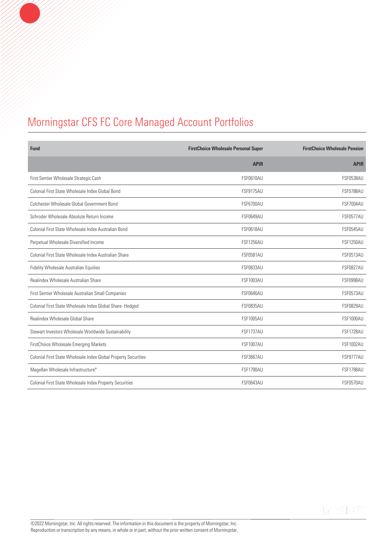| Fund                                                            | <b>FirstChoice Wholesale Personal Super</b> | <b>FirstChoice Wholesale Pension</b> |
|-----------------------------------------------------------------|---------------------------------------------|--------------------------------------|
|                                                                 | <b>APIR</b>                                 | <b>APIR</b>                          |
| First Sentier Wholesale Strategic Cash                          | <b>FSF0610AU</b>                            | <b>FSF0538AU</b>                     |
| Colonial First State Wholesale Index Global Bond                | <b>FSF9175AU</b>                            | <b>FSF5788AU</b>                     |
| Colchester Wholesale Global Government Bond                     | <b>FSF6700AU</b>                            | <b>FSF7004AU</b>                     |
| Schroder Wholesale Absolute Return Income                       | <b>FSF0649AU</b>                            | <b>FSF0577AU</b>                     |
| Colonial First State Wholesale Index Australian Bond            | <b>FSF0618AU</b>                            | <b>FSF0545AU</b>                     |
| Perpetual Wholesale Diversified Income                          | <b>FSF1256AU</b>                            | <b>FSF1250AU</b>                     |
| Colonial First State Wholesale Index Australian Share           | <b>FSF0581AU</b>                            | <b>FSF0513AU</b>                     |
| Fidelity Wholesale Australian Equities                          | <b>FSF0833AU</b>                            | <b>FSF0827AU</b>                     |
| Realindex Wholesale Australian Share                            | <b>FSF1003AU</b>                            | FSF0998AU                            |
| First Sentier Wholesale Australian Small Companies              | <b>FSF0646AU</b>                            | <b>FSF0573AU</b>                     |
| Colonial First State Wholesale Index Global Share- Hedged       | <b>FSF0835AU</b>                            | <b>FSF0829AU</b>                     |
| Realindex Wholesale Global Share                                | <b>FSF1005AU</b>                            | <b>FSF1000AU</b>                     |
| Stewart Investors Wholesale Worldwide Sustainability            | <b>FSF1737AU</b>                            | <b>FSF1728AU</b>                     |
| FirstChoice Wholesale Emerging Markets                          | <b>FSF1007AU</b>                            | <b>FSF1002AU</b>                     |
| Colonial First State Wholesale Index Global Property Securities | <b>FSF3667AU</b>                            | <b>FSF9777AU</b>                     |
| Magellan Wholesale Infrastructure*                              | <b>FSF1790AU</b>                            | <b>FSF1798AU</b>                     |
| Colonial First State Wholesale Index Property Securities        | <b>FSF0643AU</b>                            | <b>FSF0570AU</b>                     |